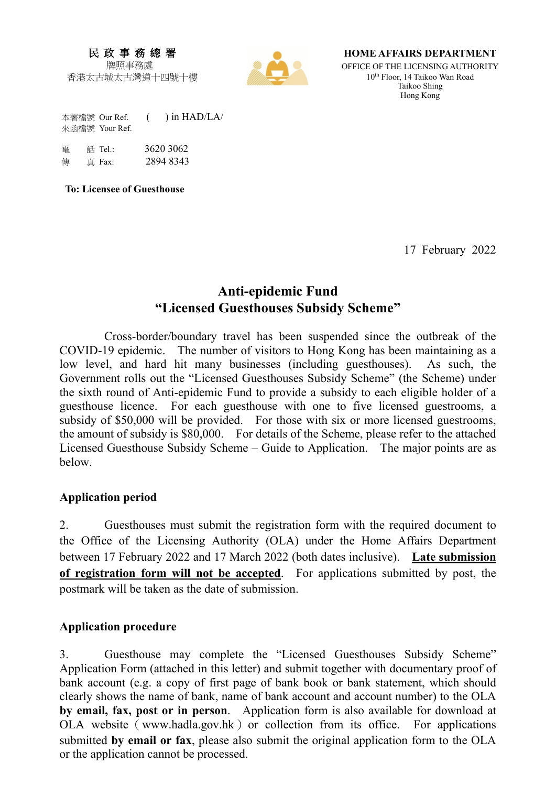#### 民 政 事 務 總 署 牌照事務處

香港太古城太古灣道十四號十樓



**HOME AFFAIRS DEPARTMENT** OFFICE OF THE LICENSING AUTHORITY

10th Floor, 14 Taikoo Wan Road Taikoo Shing Hong Kong

本署檔號 Our Ref. ( ) in HAD/LA/ 來函檔號 Your Ref.

 電 話 Tel.: 3620 3062 傳 直 Fax: 2894 8343

**To: Licensee of Guesthouse** 

17 February 2022

# **Anti-epidemic Fund "Licensed Guesthouses Subsidy Scheme"**

Cross-border/boundary travel has been suspended since the outbreak of the COVID-19 epidemic. The number of visitors to Hong Kong has been maintaining as a low level, and hard hit many businesses (including guesthouses). As such, the Government rolls out the "Licensed Guesthouses Subsidy Scheme" (the Scheme) under the sixth round of Anti-epidemic Fund to provide a subsidy to each eligible holder of a guesthouse licence. For each guesthouse with one to five licensed guestrooms, a subsidy of \$50,000 will be provided. For those with six or more licensed guestrooms, the amount of subsidy is \$80,000. For details of the Scheme, please refer to the attached Licensed Guesthouse Subsidy Scheme – Guide to Application. The major points are as below.

#### **Application period**

2. Guesthouses must submit the registration form with the required document to the Office of the Licensing Authority (OLA) under the Home Affairs Department between 17 February 2022 and 17 March 2022 (both dates inclusive). **Late submission of registration form will not be accepted**. For applications submitted by post, the postmark will be taken as the date of submission.

#### **Application procedure**

3. Guesthouse may complete the "Licensed Guesthouses Subsidy Scheme" Application Form (attached in this letter) and submit together with documentary proof of bank account (e.g. a copy of first page of bank book or bank statement, which should clearly shows the name of bank, name of bank account and account number) to the OLA **by email, fax, post or in person**. Application form is also available for download at OLA website (www.hadla.gov.hk) or collection from its office. For applications submitted **by email or fax**, please also submit the original application form to the OLA or the application cannot be processed.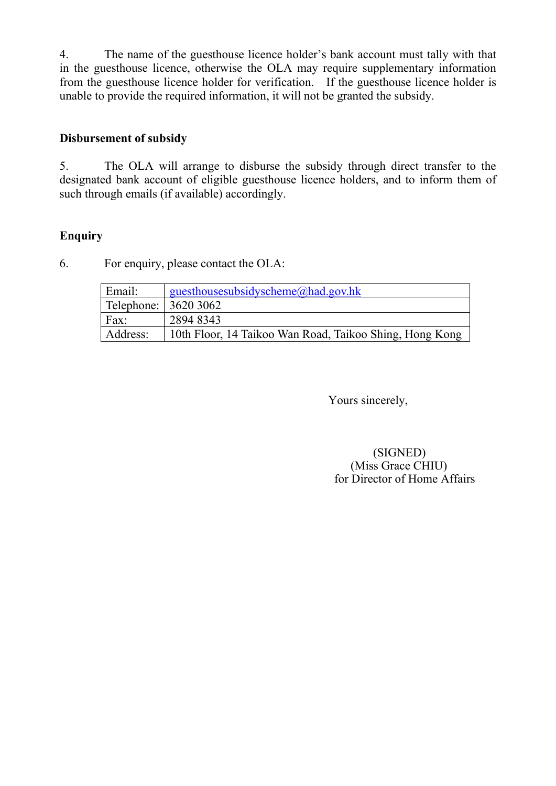4. The name of the guesthouse licence holder's bank account must tally with that in the guesthouse licence, otherwise the OLA may require supplementary information from the guesthouse licence holder for verification. If the guesthouse licence holder is unable to provide the required information, it will not be granted the subsidy.

## **Disbursement of subsidy**

5. The OLA will arrange to disburse the subsidy through direct transfer to the designated bank account of eligible guesthouse licence holders, and to inform them of such through emails (if available) accordingly.

## **Enquiry**

6. For enquiry, please contact the OLA:

| Email:               | guesthousesubsidyscheme@had.gov.hk                      |  |  |
|----------------------|---------------------------------------------------------|--|--|
| Telephone: 3620 3062 |                                                         |  |  |
| Fax:                 | 2894 8343                                               |  |  |
| Address:             | 10th Floor, 14 Taikoo Wan Road, Taikoo Shing, Hong Kong |  |  |

Yours sincerely,

(SIGNED) (Miss Grace CHIU) for Director of Home Affairs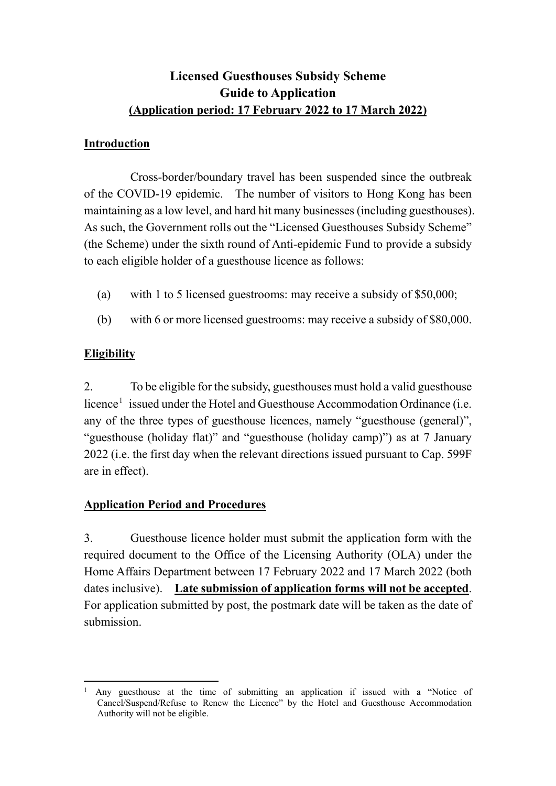# **Licensed Guesthouses Subsidy Scheme Guide to Application (Application period: 17 February 2022 to 17 March 2022)**

#### **Introduction**

Cross-border/boundary travel has been suspended since the outbreak of the COVID-19 epidemic. The number of visitors to Hong Kong has been maintaining as a low level, and hard hit many businesses (including guesthouses). As such, the Government rolls out the "Licensed Guesthouses Subsidy Scheme" (the Scheme) under the sixth round of Anti-epidemic Fund to provide a subsidy to each eligible holder of a guesthouse licence as follows:

- (a) with 1 to 5 licensed guestrooms: may receive a subsidy of \$50,000;
- (b) with 6 or more licensed guestrooms: may receive a subsidy of \$80,000.

## **Eligibility**

2. To be eligible for the subsidy, guesthouses must hold a valid guesthouse licence<sup>[1](#page-2-0)</sup> issued under the Hotel and Guesthouse Accommodation Ordinance (i.e. any of the three types of guesthouse licences, namely "guesthouse (general)", "guesthouse (holiday flat)" and "guesthouse (holiday camp)") as at 7 January 2022 (i.e. the first day when the relevant directions issued pursuant to Cap. 599F are in effect).

## **Application Period and Procedures**

3. Guesthouse licence holder must submit the application form with the required document to the Office of the Licensing Authority (OLA) under the Home Affairs Department between 17 February 2022 and 17 March 2022 (both dates inclusive). **Late submission of application forms will not be accepted**. For application submitted by post, the postmark date will be taken as the date of submission.

<span id="page-2-0"></span><sup>1</sup> <sup>1</sup> Any guesthouse at the time of submitting an application if issued with a "Notice of Cancel/Suspend/Refuse to Renew the Licence" by the Hotel and Guesthouse Accommodation Authority will not be eligible.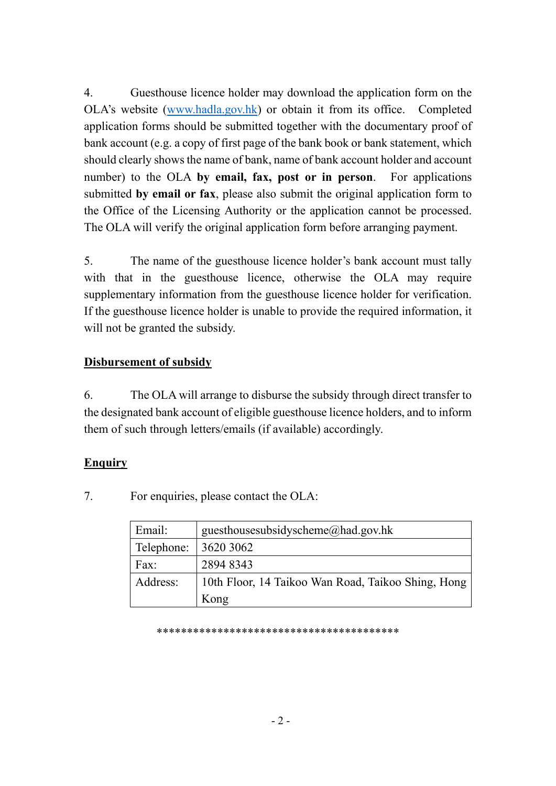4. Guesthouse licence holder may download the application form on the OLA's website (www.hadla.gov.hk) or obtain it from its office. Completed application forms should be submitted together with the documentary proof of bank account (e.g. a copy of first page of the bank book or bank statement, which should clearly showsthe name of bank, name of bank account holder and account number) to the OLA **by email, fax, post or in person**. For applications submitted **by email or fax**, please also submit the original application form to the Office of the Licensing Authority or the application cannot be processed. The OLA will verify the original application form before arranging payment.

5. The name of the guesthouse licence holder's bank account must tally with that in the guesthouse licence, otherwise the OLA may require supplementary information from the guesthouse licence holder for verification. If the guesthouse licence holder is unable to provide the required information, it will not be granted the subsidy.

## **Disbursement of subsidy**

6. The OLA will arrange to disburse the subsidy through direct transfer to the designated bank account of eligible guesthouse licence holders, and to inform them of such through letters/emails (if available) accordingly.

#### **Enquiry**

7. For enquiries, please contact the OLA:

| Email:     | guesthousesubsidyscheme@had.gov.hk                 |  |
|------------|----------------------------------------------------|--|
| Telephone: | 3620 3062                                          |  |
| Fax:       | 2894 8343                                          |  |
| Address:   | 10th Floor, 14 Taikoo Wan Road, Taikoo Shing, Hong |  |
|            | Kong                                               |  |

\*\*\*\*\*\*\*\*\*\*\*\*\*\*\*\*\*\*\*\*\*\*\*\*\*\*\*\*\*\*\*\*\*\*\*\*\*\*\*\*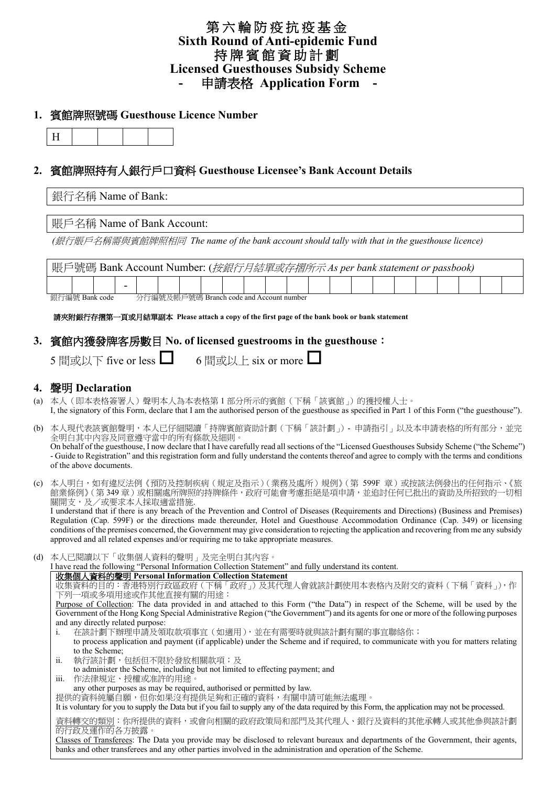## 第六輪防疫抗疫基金 **Sixth Round of Anti-epidemic Fund** 持 牌 賓 館 資助計劃 **Licensed Guesthouses Subsidy Scheme -** 申請表格 **Application Form -**

# **1.** 賓館牌照號碼 **Guesthouse Licence Number**



# **2.** 賓館牌照持有人銀行戶口資料 **Guesthouse Licensee's Bank Account Details**

|     | 銀行名稱 Name of Bank:                                                                                                                                                                                                                                                                                                                                                                                                                                                                                                                                                                                                                                                     |  |  |  |  |  |
|-----|------------------------------------------------------------------------------------------------------------------------------------------------------------------------------------------------------------------------------------------------------------------------------------------------------------------------------------------------------------------------------------------------------------------------------------------------------------------------------------------------------------------------------------------------------------------------------------------------------------------------------------------------------------------------|--|--|--|--|--|
|     | 賬戶名稱 Name of Bank Account:                                                                                                                                                                                                                                                                                                                                                                                                                                                                                                                                                                                                                                             |  |  |  |  |  |
|     | (銀行賬戶名稱需與賓館牌照相同 The name of the bank account should tally with that in the guesthouse licence)                                                                                                                                                                                                                                                                                                                                                                                                                                                                                                                                                                         |  |  |  |  |  |
|     | 賬戶號碼 Bank Account Number: (按銀行月結單或存摺所示 As per bank statement or passbook)                                                                                                                                                                                                                                                                                                                                                                                                                                                                                                                                                                                              |  |  |  |  |  |
|     | 分行編號及帳戶號碼 Branch code and Account number<br>銀行編號 Bank code                                                                                                                                                                                                                                                                                                                                                                                                                                                                                                                                                                                                             |  |  |  |  |  |
|     | 請夾附銀行存摺第一頁或月結單副本 Please attach a copy of the first page of the bank book or bank statement                                                                                                                                                                                                                                                                                                                                                                                                                                                                                                                                                                             |  |  |  |  |  |
|     | 3. 賓館內獲發牌客房數目 No. of licensed guestrooms in the guesthouse:                                                                                                                                                                                                                                                                                                                                                                                                                                                                                                                                                                                                            |  |  |  |  |  |
|     | 5 間或以下 five or less $\Box$<br>6 間或以上 six or more $\square$                                                                                                                                                                                                                                                                                                                                                                                                                                                                                                                                                                                                             |  |  |  |  |  |
|     | 4. 聲明 Declaration<br>(a) 本人(即本表格簽署人)聲明本人為本表格第1部分所示的賓館(下稱「該賓館」)的獲授權人士。<br>I, the signatory of this Form, declare that I am the authorised person of the guesthouse as specified in Part 1 of this Form ("the guesthouse").                                                                                                                                                                                                                                                                                                                                                                                                                                              |  |  |  |  |  |
|     | (b) 本人現代表該賓館聲明,本人已仔細閱讀「持牌賓館資助計劃(下稱「該計劃」)- 申請指引」以及本申請表格的所有部分,並完<br>全明白其中内容及同意遵守當中的所有條款及細則。<br>On behalf of the guesthouse, I now declare that I have carefully read all sections of the "Licensed Guesthouses Subsidy Scheme ("the Scheme")<br>- Guide to Registration" and this registration form and fully understand the contents thereof and agree to comply with the terms and conditions<br>of the above documents.                                                                                                                                                                                                                                               |  |  |  |  |  |
| (c) | 本人明白,如有違反法例《預防及控制疾病(規定及指示)(業務及處所)規例》(第 599F 章)或按該法例發出的任何指示、《旅<br>館業條例》(第349章)或相關處所牌照的持牌條件,政府可能會考慮拒絕是項申請,並追討任何已批出的資助及所招致的一切相<br>關開支,及/或要求本人採取適當措施.<br>I understand that if there is any breach of the Prevention and Control of Diseases (Requirements and Directions) (Business and Premises)<br>Regulation (Cap. 599F) or the directions made thereunder, Hotel and Guesthouse Accommodation Ordinance (Cap. 349) or licensing<br>conditions of the premises concerned, the Government may give consideration to rejecting the application and recovering from me any subsidy<br>approved and all related expenses and/or requiring me to take appropriate measures.  |  |  |  |  |  |
| (d) | 本人已閱讀以下「收集個人資料的聲明」及完全明白其內容。<br>I have read the following "Personal Information Collection Statement" and fully understand its content.                                                                                                                                                                                                                                                                                                                                                                                                                                                                                                                                 |  |  |  |  |  |
|     | 收集個人資料的聲明 Personal Information Collection Statement<br>收集資料的目的:香港特別行政區政府(下稱「政府」)及其代理人會就該計劃使用本表格內及附交的資料(下稱「資料」),作<br>下列一項或多項用途或作其他直接有關的用途:<br>Purpose of Collection: The data provided in and attached to this Form ("the Data") in respect of the Scheme, will be used by the<br>Government of the Hong Kong Special Administrative Region ("the Government") and its agents for one or more of the following purposes<br>and any directly related purpose:<br>在該計劃下辦理申請及領取款項事宜(如適用),並在有需要時就與該計劃有關的事宜聯絡你;<br>i.<br>to process application and payment (if applicable) under the Scheme and if required, to communicate with you for matters relating<br>to the Scheme; |  |  |  |  |  |
|     | ii.<br>執行該計劃,包括但不限於發放相關款項;及<br>to administer the Scheme, including but not limited to effecting payment; and<br>作法律規定、授權或准許的用途。<br>111.<br>any other purposes as may be required, authorised or permitted by law.<br>提供的資料純屬自願,但你如果沒有提供足夠和正確的資料,有關申請可能無法處理。<br>It is voluntary for you to supply the Data but if you fail to supply any of the data required by this Form, the application may not be processed.                                                                                                                                                                                                                                                       |  |  |  |  |  |
|     | 資料轉交的類別:你所提供的資料,或會向相關的政府政策局和部門及其代理人、銀行及資料的其他承轉人或其他參與該計劃<br>的行政及運作的各方披露。<br>Classes of Transferees: The Data you provide may be disclosed to relevant bureaux and departments of the Government, their agents,<br>banks and other transferees and any other parties involved in the administration and operation of the Scheme.                                                                                                                                                                                                                                                                                                                                         |  |  |  |  |  |